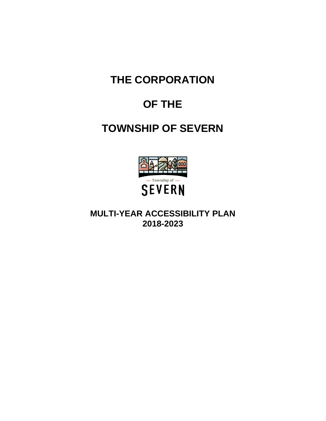**THE CORPORATION**

# **OF THE**

# **TOWNSHIP OF SEVERN**



**MULTI-YEAR ACCESSIBILITY PLAN 2018-2023**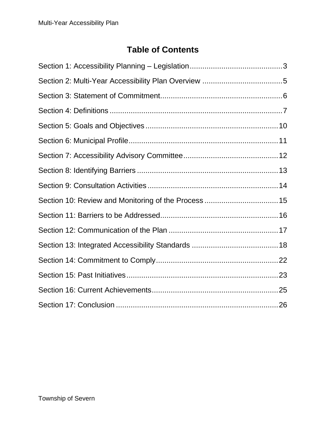## **Table of Contents**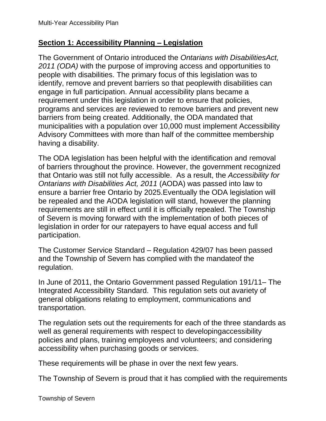#### <span id="page-2-0"></span>**Section 1: Accessibility Planning – Legislation**

The Government of Ontario introduced the *Ontarians with DisabilitiesAct, 2011 (ODA)* with the purpose of improving access and opportunities to people with disabilities. The primary focus of this legislation was to identify, remove and prevent barriers so that peoplewith disabilities can engage in full participation. Annual accessibility plans became a requirement under this legislation in order to ensure that policies, programs and services are reviewed to remove barriers and prevent new barriers from being created. Additionally, the ODA mandated that municipalities with a population over 10,000 must implement Accessibility Advisory Committees with more than half of the committee membership having a disability.

The ODA legislation has been helpful with the identification and removal of barriers throughout the province. However, the government recognized that Ontario was still not fully accessible. As a result, the *Accessibility for Ontarians with Disabilities Act, 2011* (AODA) was passed into law to ensure a barrier free Ontario by 2025.Eventually the ODA legislation will be repealed and the AODA legislation will stand, however the planning requirements are still in effect until it is officially repealed. The Township of Severn is moving forward with the implementation of both pieces of legislation in order for our ratepayers to have equal access and full participation.

The Customer Service Standard – Regulation 429/07 has been passed and the Township of Severn has complied with the mandateof the regulation.

In June of 2011, the Ontario Government passed Regulation 191/11– The Integrated Accessibility Standard. This regulation sets out avariety of general obligations relating to employment, communications and transportation.

The regulation sets out the requirements for each of the three standards as well as general requirements with respect to developingaccessibility policies and plans, training employees and volunteers; and considering accessibility when purchasing goods or services.

These requirements will be phase in over the next few years.

The Township of Severn is proud that it has complied with the requirements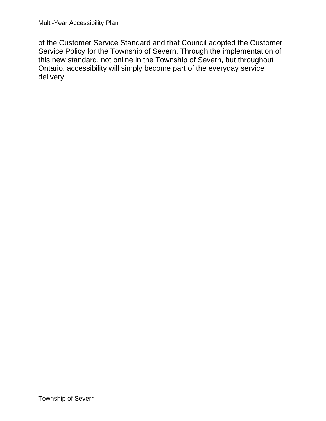of the Customer Service Standard and that Council adopted the Customer Service Policy for the Township of Severn. Through the implementation of this new standard, not online in the Township of Severn, but throughout Ontario, accessibility will simply become part of the everyday service delivery.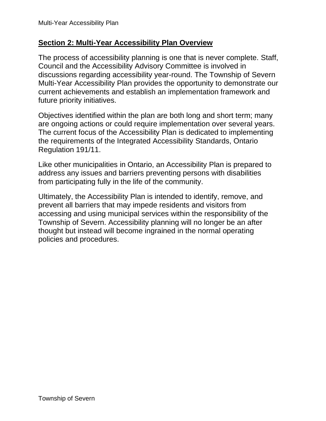#### <span id="page-4-0"></span>**Section 2: Multi-Year Accessibility Plan Overview**

The process of accessibility planning is one that is never complete. Staff, Council and the Accessibility Advisory Committee is involved in discussions regarding accessibility year-round. The Township of Severn Multi-Year Accessibility Plan provides the opportunity to demonstrate our current achievements and establish an implementation framework and future priority initiatives.

Objectives identified within the plan are both long and short term; many are ongoing actions or could require implementation over several years. The current focus of the Accessibility Plan is dedicated to implementing the requirements of the Integrated Accessibility Standards, Ontario Regulation 191/11.

Like other municipalities in Ontario, an Accessibility Plan is prepared to address any issues and barriers preventing persons with disabilities from participating fully in the life of the community.

Ultimately, the Accessibility Plan is intended to identify, remove, and prevent all barriers that may impede residents and visitors from accessing and using municipal services within the responsibility of the Township of Severn. Accessibility planning will no longer be an after thought but instead will become ingrained in the normal operating policies and procedures.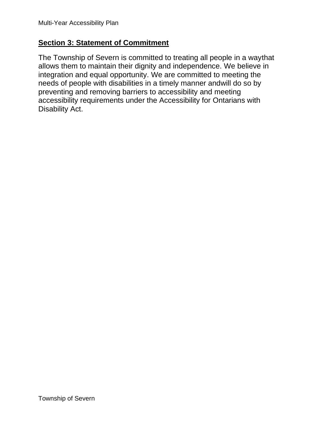#### <span id="page-5-0"></span>**Section 3: Statement of Commitment**

The Township of Severn is committed to treating all people in a waythat allows them to maintain their dignity and independence. We believe in integration and equal opportunity. We are committed to meeting the needs of people with disabilities in a timely manner andwill do so by preventing and removing barriers to accessibility and meeting accessibility requirements under the Accessibility for Ontarians with Disability Act.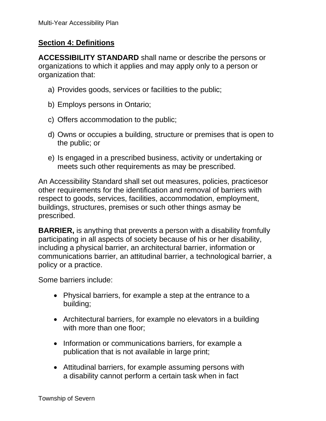#### <span id="page-6-0"></span>**Section 4: Definitions**

**ACCESSIBILITY STANDARD** shall name or describe the persons or organizations to which it applies and may apply only to a person or organization that:

- a) Provides goods, services or facilities to the public;
- b) Employs persons in Ontario;
- c) Offers accommodation to the public;
- d) Owns or occupies a building, structure or premises that is open to the public; or
- e) Is engaged in a prescribed business, activity or undertaking or meets such other requirements as may be prescribed.

An Accessibility Standard shall set out measures, policies, practicesor other requirements for the identification and removal of barriers with respect to goods, services, facilities, accommodation, employment, buildings, structures, premises or such other things asmay be prescribed.

**BARRIER,** is anything that prevents a person with a disability fromfully participating in all aspects of society because of his or her disability, including a physical barrier, an architectural barrier, information or communications barrier, an attitudinal barrier, a technological barrier, a policy or a practice.

Some barriers include:

- Physical barriers, for example a step at the entrance to a building;
- Architectural barriers, for example no elevators in a building with more than one floor;
- Information or communications barriers, for example a publication that is not available in large print;
- Attitudinal barriers, for example assuming persons with a disability cannot perform a certain task when in fact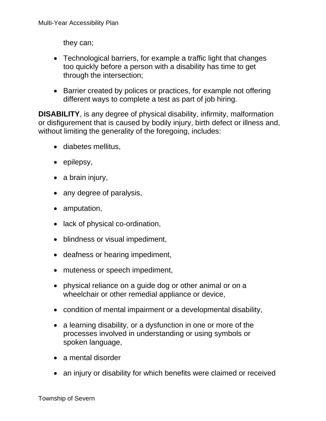they can;

- Technological barriers, for example a traffic light that changes too quickly before a person with a disability has time to get through the intersection;
- Barrier created by polices or practices, for example not offering different ways to complete a test as part of job hiring.

**DISABILITY**, is any degree of physical disability, infirmity, malformation or disfigurement that is caused by bodily injury, birth defect or illness and, without limiting the generality of the foregoing, includes:

- diabetes mellitus,
- epilepsy,
- a brain injury,
- any degree of paralysis,
- amputation,
- lack of physical co-ordination,
- blindness or visual impediment,
- deafness or hearing impediment,
- muteness or speech impediment,
- physical reliance on a guide dog or other animal or on a wheelchair or other remedial appliance or device,
- condition of mental impairment or a developmental disability,
- a learning disability, or a dysfunction in one or more of the processes involved in understanding or using symbols or spoken language,
- a mental disorder
- an injury or disability for which benefits were claimed or received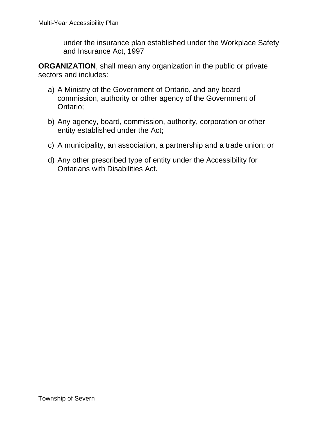under the insurance plan established under the Workplace Safety and Insurance Act, 1997

**ORGANIZATION**, shall mean any organization in the public or private sectors and includes:

- a) A Ministry of the Government of Ontario, and any board commission, authority or other agency of the Government of Ontario;
- b) Any agency, board, commission, authority, corporation or other entity established under the Act;
- c) A municipality, an association, a partnership and a trade union; or
- d) Any other prescribed type of entity under the Accessibility for Ontarians with Disabilities Act.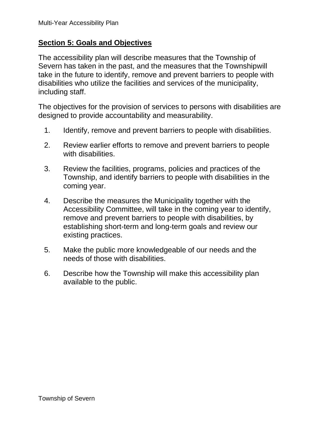#### <span id="page-9-0"></span>**Section 5: Goals and Objectives**

The accessibility plan will describe measures that the Township of Severn has taken in the past, and the measures that the Townshipwill take in the future to identify, remove and prevent barriers to people with disabilities who utilize the facilities and services of the municipality, including staff.

The objectives for the provision of services to persons with disabilities are designed to provide accountability and measurability.

- 1. Identify, remove and prevent barriers to people with disabilities.
- 2. Review earlier efforts to remove and prevent barriers to people with disabilities.
- 3. Review the facilities, programs, policies and practices of the Township, and identify barriers to people with disabilities in the coming year.
- 4. Describe the measures the Municipality together with the Accessibility Committee, will take in the coming year to identify, remove and prevent barriers to people with disabilities, by establishing short-term and long-term goals and review our existing practices.
- 5. Make the public more knowledgeable of our needs and the needs of those with disabilities.
- 6. Describe how the Township will make this accessibility plan available to the public.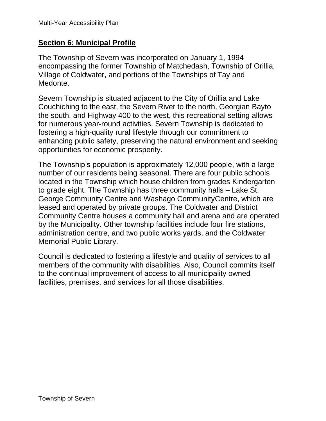#### <span id="page-10-0"></span>**Section 6: Municipal Profile**

The Township of Severn was incorporated on January 1, 1994 encompassing the former Township of Matchedash, Township of Orillia, Village of Coldwater, and portions of the Townships of Tay and Medonte.

Severn Township is situated adjacent to the City of Orillia and Lake Couchiching to the east, the Severn River to the north, Georgian Bayto the south, and Highway 400 to the west, this recreational setting allows for numerous year-round activities. Severn Township is dedicated to fostering a high-quality rural lifestyle through our commitment to enhancing public safety, preserving the natural environment and seeking opportunities for economic prosperity.

The Township's population is approximately 12,000 people, with a large number of our residents being seasonal. There are four public schools located in the Township which house children from grades Kindergarten to grade eight. The Township has three community halls – Lake St. George Community Centre and Washago CommunityCentre, which are leased and operated by private groups. The Coldwater and District Community Centre houses a community hall and arena and are operated by the Municipality. Other township facilities include four fire stations, administration centre, and two public works yards, and the Coldwater Memorial Public Library.

Council is dedicated to fostering a lifestyle and quality of services to all members of the community with disabilities. Also, Council commits itself to the continual improvement of access to all municipality owned facilities, premises, and services for all those disabilities.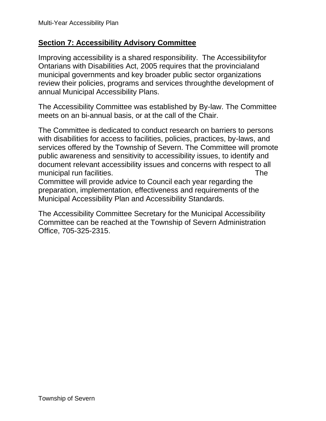#### <span id="page-11-0"></span>**Section 7: Accessibility Advisory Committee**

Improving accessibility is a shared responsibility. The Accessibilityfor Ontarians with Disabilities Act, 2005 requires that the provincialand municipal governments and key broader public sector organizations review their policies, programs and services throughthe development of annual Municipal Accessibility Plans.

The Accessibility Committee was established by By-law. The Committee meets on an bi-annual basis, or at the call of the Chair.

The Committee is dedicated to conduct research on barriers to persons with disabilities for access to facilities, policies, practices, by-laws, and services offered by the Township of Severn. The Committee will promote public awareness and sensitivity to accessibility issues, to identify and document relevant accessibility issues and concerns with respect to all municipal run facilities. The state of the state of the state of the state of the state of the state of the state of the state of the state of the state of the state of the state of the state of the state of the state of t

Committee will provide advice to Council each year regarding the preparation, implementation, effectiveness and requirements of the Municipal Accessibility Plan and Accessibility Standards.

The Accessibility Committee Secretary for the Municipal Accessibility Committee can be reached at the Township of Severn Administration Office, 705-325-2315.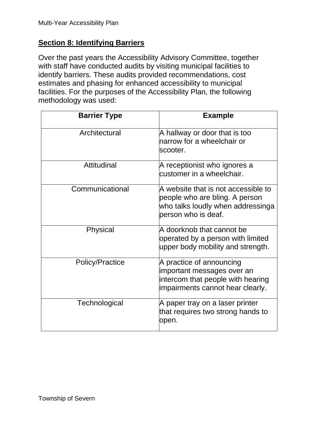#### <span id="page-12-0"></span>**Section 8: Identifying Barriers**

Over the past years the Accessibility Advisory Committee, together with staff have conducted audits by visiting municipal facilities to identify barriers. These audits provided recommendations, cost estimates and phasing for enhanced accessibility to municipal facilities. For the purposes of the Accessibility Plan, the following methodology was used:

| <b>Barrier Type</b>    | <b>Example</b>                                                                                                                    |
|------------------------|-----------------------------------------------------------------------------------------------------------------------------------|
| Architectural          | A hallway or door that is too<br>harrow for a wheelchair or<br>scooter.                                                           |
| Attitudinal            | A receptionist who ignores a<br>customer in a wheelchair.                                                                         |
| Communicational        | A website that is not accessible to<br>people who are bling. A person<br>who talks loudly when addressinga<br>person who is deaf. |
| Physical               | A doorknob that cannot be<br>operated by a person with limited<br>upper body mobility and strength.                               |
| <b>Policy/Practice</b> | A practice of announcing<br>important messages over an<br>intercom that people with hearing<br>impairments cannot hear clearly.   |
| Technological          | A paper tray on a laser printer<br>that requires two strong hands to<br>open.                                                     |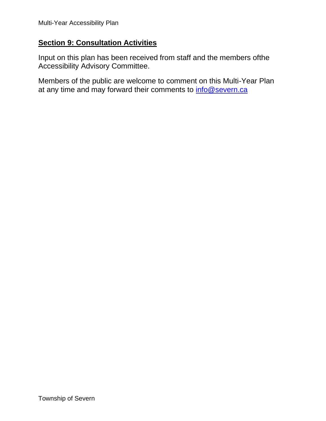#### <span id="page-13-0"></span>**Section 9: Consultation Activities**

Input on this plan has been received from staff and the members ofthe Accessibility Advisory Committee.

Members of the public are welcome to comment on this Multi-Year Plan at any time and may forward their comments to [info@severn.ca](mailto:info@severn.ca)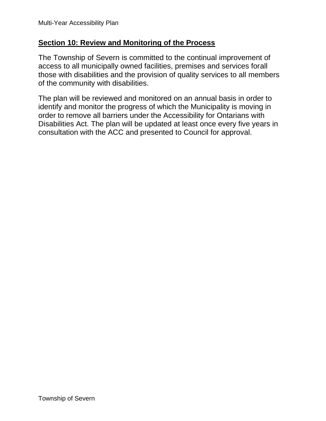#### <span id="page-14-0"></span>**Section 10: Review and Monitoring of the Process**

The Township of Severn is committed to the continual improvement of access to all municipally owned facilities, premises and services forall those with disabilities and the provision of quality services to all members of the community with disabilities.

The plan will be reviewed and monitored on an annual basis in order to identify and monitor the progress of which the Municipality is moving in order to remove all barriers under the Accessibility for Ontarians with Disabilities Act. The plan will be updated at least once every five years in consultation with the ACC and presented to Council for approval.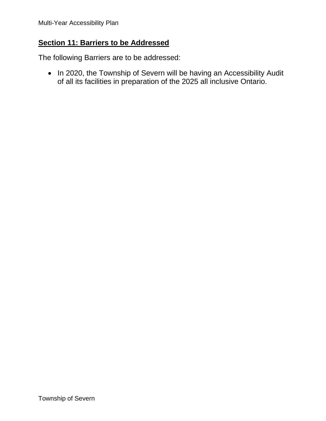#### <span id="page-15-0"></span>**Section 11: Barriers to be Addressed**

The following Barriers are to be addressed:

• In 2020, the Township of Severn will be having an Accessibility Audit of all its facilities in preparation of the 2025 all inclusive Ontario.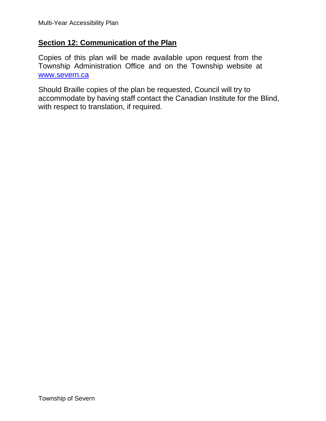#### <span id="page-16-0"></span>**Section 12: Communication of the Plan**

Copies of this plan will be made available upon request from the Township Administration Office and on the Township website at [www.severn.ca](http://www.severn.ca/)

Should Braille copies of the plan be requested, Council will try to accommodate by having staff contact the Canadian Institute for the Blind, with respect to translation, if required.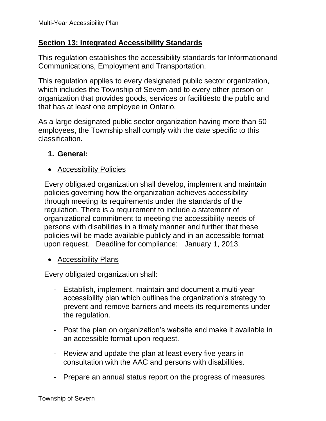#### <span id="page-17-0"></span>**Section 13: Integrated Accessibility Standards**

This regulation establishes the accessibility standards for Informationand Communications, Employment and Transportation.

This regulation applies to every designated public sector organization, which includes the Township of Severn and to every other person or organization that provides goods, services or facilitiesto the public and that has at least one employee in Ontario.

As a large designated public sector organization having more than 50 employees, the Township shall comply with the date specific to this classification.

#### **1. General:**

• Accessibility Policies

Every obligated organization shall develop, implement and maintain policies governing how the organization achieves accessibility through meeting its requirements under the standards of the regulation. There is a requirement to include a statement of organizational commitment to meeting the accessibility needs of persons with disabilities in a timely manner and further that these policies will be made available publicly and in an accessible format upon request. Deadline for compliance: January 1, 2013.

• Accessibility Plans

Every obligated organization shall:

- Establish, implement, maintain and document a multi-year accessibility plan which outlines the organization's strategy to prevent and remove barriers and meets its requirements under the regulation.
- Post the plan on organization's website and make it available in an accessible format upon request.
- Review and update the plan at least every five years in consultation with the AAC and persons with disabilities.
- Prepare an annual status report on the progress of measures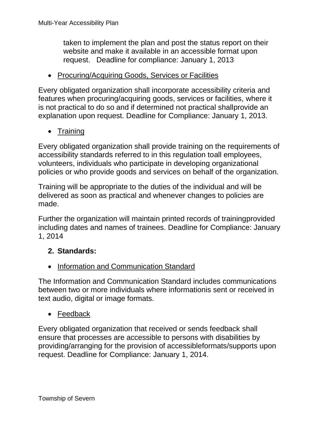taken to implement the plan and post the status report on their website and make it available in an accessible format upon request. Deadline for compliance: January 1, 2013

• Procuring/Acquiring Goods, Services or Facilities

Every obligated organization shall incorporate accessibility criteria and features when procuring/acquiring goods, services or facilities, where it is not practical to do so and if determined not practical shallprovide an explanation upon request. Deadline for Compliance: January 1, 2013.

• Training

Every obligated organization shall provide training on the requirements of accessibility standards referred to in this regulation toall employees, volunteers, individuals who participate in developing organizational policies or who provide goods and services on behalf of the organization.

Training will be appropriate to the duties of the individual and will be delivered as soon as practical and whenever changes to policies are made.

Further the organization will maintain printed records of trainingprovided including dates and names of trainees. Deadline for Compliance: January 1, 2014

### **2. Standards:**

• Information and Communication Standard

The Information and Communication Standard includes communications between two or more individuals where informationis sent or received in text audio, digital or image formats.

#### • Feedback

Every obligated organization that received or sends feedback shall ensure that processes are accessible to persons with disabilities by providing/arranging for the provision of accessibleformats/supports upon request. Deadline for Compliance: January 1, 2014.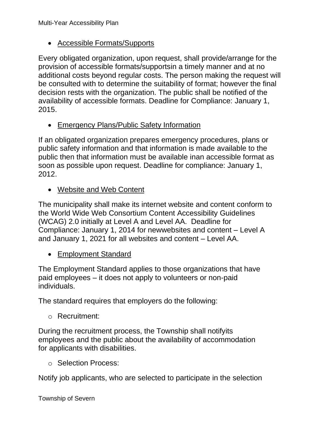#### • Accessible Formats/Supports

Every obligated organization, upon request, shall provide/arrange for the provision of accessible formats/supportsin a timely manner and at no additional costs beyond regular costs. The person making the request will be consulted with to determine the suitability of format; however the final decision rests with the organization. The public shall be notified of the availability of accessible formats. Deadline for Compliance: January 1, 2015.

• Emergency Plans/Public Safety Information

If an obligated organization prepares emergency procedures, plans or public safety information and that information is made available to the public then that information must be available inan accessible format as soon as possible upon request. Deadline for compliance: January 1, 2012.

• Website and Web Content

The municipality shall make its internet website and content conform to the World Wide Web Consortium Content Accessibility Guidelines (WCAG) 2.0 initially at Level A and Level AA. Deadline for Compliance: January 1, 2014 for newwebsites and content – Level A and January 1, 2021 for all websites and content – Level AA.

• Employment Standard

The Employment Standard applies to those organizations that have paid employees – it does not apply to volunteers or non-paid individuals.

The standard requires that employers do the following:

o Recruitment:

During the recruitment process, the Township shall notifyits employees and the public about the availability of accommodation for applicants with disabilities.

o Selection Process:

Notify job applicants, who are selected to participate in the selection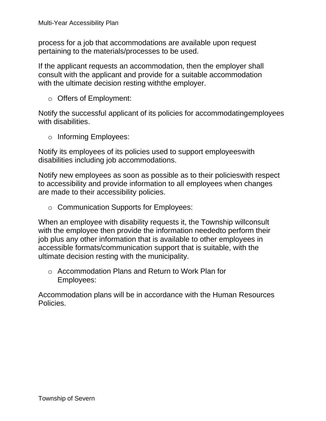process for a job that accommodations are available upon request pertaining to the materials/processes to be used.

If the applicant requests an accommodation, then the employer shall consult with the applicant and provide for a suitable accommodation with the ultimate decision resting withthe employer.

o Offers of Employment:

Notify the successful applicant of its policies for accommodatingemployees with disabilities.

o Informing Employees:

Notify its employees of its policies used to support employeeswith disabilities including job accommodations.

Notify new employees as soon as possible as to their policieswith respect to accessibility and provide information to all employees when changes are made to their accessibility policies.

o Communication Supports for Employees:

When an employee with disability requests it, the Township willconsult with the employee then provide the information neededto perform their job plus any other information that is available to other employees in accessible formats/communication support that is suitable, with the ultimate decision resting with the municipality.

o Accommodation Plans and Return to Work Plan for Employees:

Accommodation plans will be in accordance with the Human Resources Policies.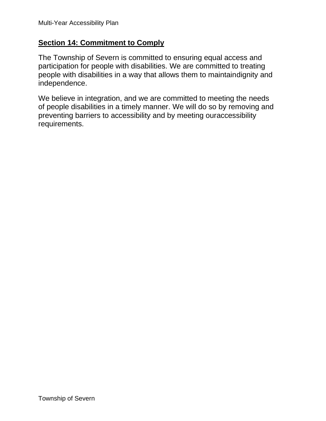#### <span id="page-21-0"></span>**Section 14: Commitment to Comply**

The Township of Severn is committed to ensuring equal access and participation for people with disabilities. We are committed to treating people with disabilities in a way that allows them to maintaindignity and independence.

We believe in integration, and we are committed to meeting the needs of people disabilities in a timely manner. We will do so by removing and preventing barriers to accessibility and by meeting ouraccessibility requirements.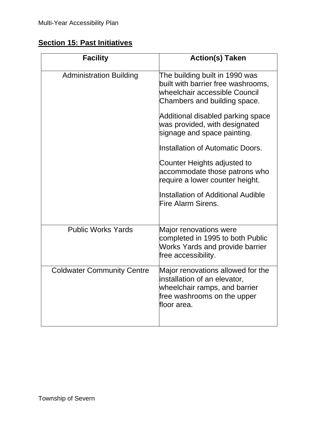### <span id="page-22-0"></span>**Section 15: Past Initiatives**

| <b>Facility</b>                   | <b>Action(s) Taken</b>                                                                                                                           |
|-----------------------------------|--------------------------------------------------------------------------------------------------------------------------------------------------|
| <b>Administration Building</b>    | The building built in 1990 was<br>built with barrier free washrooms,<br>wheelchair accessible Council<br>Chambers and building space.            |
|                                   | Additional disabled parking space<br>was provided, with designated<br>signage and space painting.                                                |
|                                   | Installation of Automatic Doors.                                                                                                                 |
|                                   | Counter Heights adjusted to<br>accommodate those patrons who<br>require a lower counter height.                                                  |
|                                   | Installation of Additional Audible<br>Fire Alarm Sirens.                                                                                         |
| <b>Public Works Yards</b>         | Major renovations were<br>completed in 1995 to both Public<br><b>Works Yards and provide barrier</b><br>free accessibility.                      |
| <b>Coldwater Community Centre</b> | Major renovations allowed for the<br>installation of an elevator,<br>wheelchair ramps, and barrier<br>free washrooms on the upper<br>floor area. |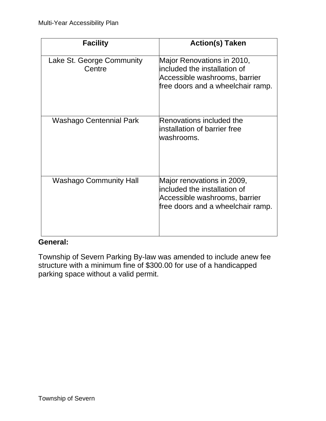| <b>Facility</b>                     | <b>Action(s) Taken</b>                                                                                                           |
|-------------------------------------|----------------------------------------------------------------------------------------------------------------------------------|
| Lake St. George Community<br>Centre | Major Renovations in 2010,<br>included the installation of<br>Accessible washrooms, barrier<br>free doors and a wheelchair ramp. |
| Washago Centennial Park             | Renovations included the<br>installation of barrier free<br>washrooms.                                                           |
| <b>Washago Community Hall</b>       | Major renovations in 2009,<br>included the installation of<br>Accessible washrooms, barrier<br>free doors and a wheelchair ramp. |

#### **General:**

Township of Severn Parking By-law was amended to include anew fee structure with a minimum fine of \$300.00 for use of a handicapped parking space without a valid permit.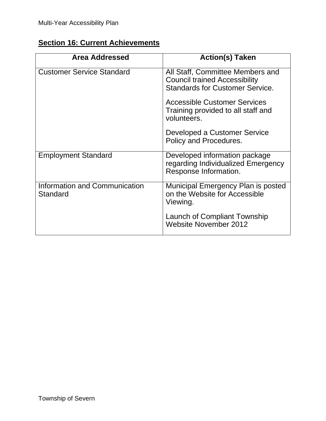## <span id="page-24-0"></span>**Section 16: Current Achievements**

| <b>Area Addressed</b>                     | <b>Action(s) Taken</b>                                                                                             |
|-------------------------------------------|--------------------------------------------------------------------------------------------------------------------|
| <b>Customer Service Standard</b>          | All Staff, Committee Members and<br><b>Council trained Accessibility</b><br><b>Standards for Customer Service.</b> |
|                                           | <b>Accessible Customer Services</b><br>Training provided to all staff and<br>volunteers.                           |
|                                           | Developed a Customer Service<br>Policy and Procedures.                                                             |
| <b>Employment Standard</b>                | Developed information package<br>regarding Individualized Emergency<br>Response Information.                       |
| Information and Communication<br>Standard | Municipal Emergency Plan is posted<br>on the Website for Accessible<br>Viewing.                                    |
|                                           | Launch of Compliant Township<br><b>Website November 2012</b>                                                       |